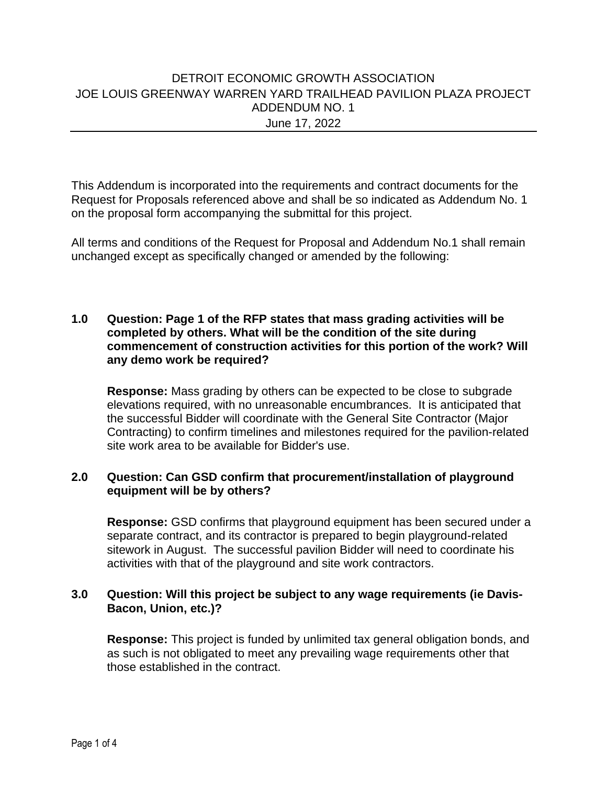## DETROIT ECONOMIC GROWTH ASSOCIATION JOE LOUIS GREENWAY WARREN YARD TRAILHEAD PAVILION PLAZA PROJECT ADDENDUM NO. 1 June 17, 2022

This Addendum is incorporated into the requirements and contract documents for the Request for Proposals referenced above and shall be so indicated as Addendum No. 1 on the proposal form accompanying the submittal for this project.

All terms and conditions of the Request for Proposal and Addendum No.1 shall remain unchanged except as specifically changed or amended by the following:

## **1.0 Question: Page 1 of the RFP states that mass grading activities will be completed by others. What will be the condition of the site during commencement of construction activities for this portion of the work? Will any demo work be required?**

**Response:** Mass grading by others can be expected to be close to subgrade elevations required, with no unreasonable encumbrances. It is anticipated that the successful Bidder will coordinate with the General Site Contractor (Major Contracting) to confirm timelines and milestones required for the pavilion-related site work area to be available for Bidder's use.

## **2.0 Question: Can GSD confirm that procurement/installation of playground equipment will be by others?**

**Response:** GSD confirms that playground equipment has been secured under a separate contract, and its contractor is prepared to begin playground-related sitework in August. The successful pavilion Bidder will need to coordinate his activities with that of the playground and site work contractors.

## **3.0 Question: Will this project be subject to any wage requirements (ie Davis-Bacon, Union, etc.)?**

**Response:** This project is funded by unlimited tax general obligation bonds, and as such is not obligated to meet any prevailing wage requirements other that those established in the contract.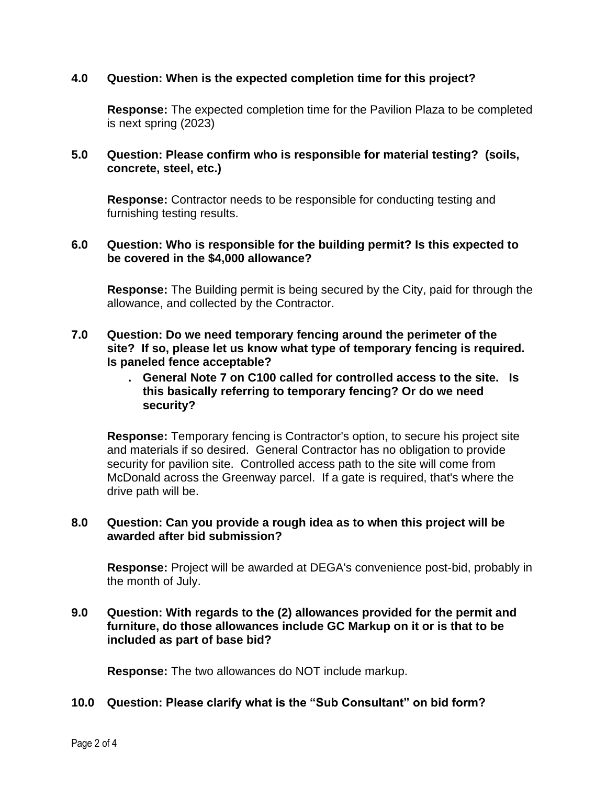## **4.0 Question: When is the expected completion time for this project?**

**Response:** The expected completion time for the Pavilion Plaza to be completed is next spring (2023)

## **5.0 Question: Please confirm who is responsible for material testing? (soils, concrete, steel, etc.)**

**Response:** Contractor needs to be responsible for conducting testing and furnishing testing results.

#### **6.0 Question: Who is responsible for the building permit? Is this expected to be covered in the \$4,000 allowance?**

**Response:** The Building permit is being secured by the City, paid for through the allowance, and collected by the Contractor.

## **7.0 Question: Do we need temporary fencing around the perimeter of the site? If so, please let us know what type of temporary fencing is required. Is paneled fence acceptable?**

**. General Note 7 on C100 called for controlled access to the site. Is this basically referring to temporary fencing? Or do we need security?**

**Response:** Temporary fencing is Contractor's option, to secure his project site and materials if so desired. General Contractor has no obligation to provide security for pavilion site. Controlled access path to the site will come from McDonald across the Greenway parcel. If a gate is required, that's where the drive path will be.

## **8.0 Question: Can you provide a rough idea as to when this project will be awarded after bid submission?**

**Response:** Project will be awarded at DEGA's convenience post-bid, probably in the month of July.

## **9.0 Question: With regards to the (2) allowances provided for the permit and furniture, do those allowances include GC Markup on it or is that to be included as part of base bid?**

**Response:** The two allowances do NOT include markup.

## **10.0 Question: Please clarify what is the "Sub Consultant" on bid form?**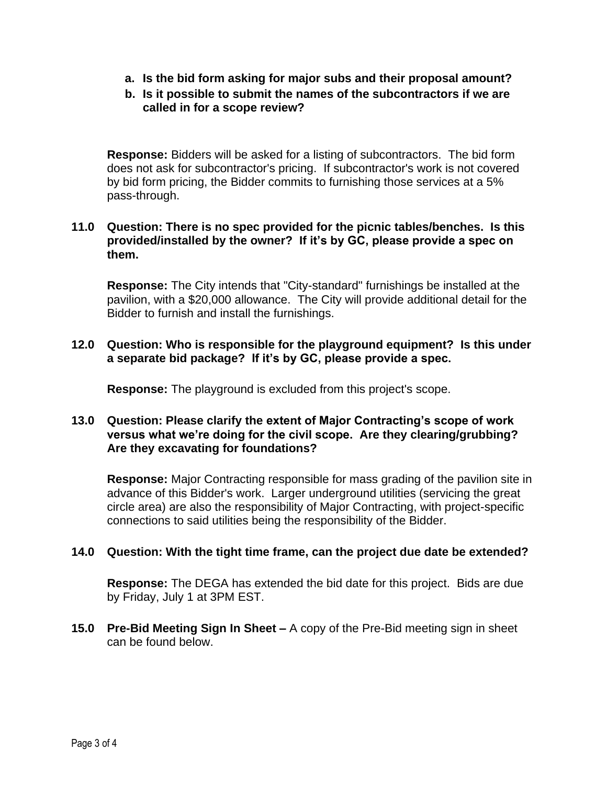- **a. Is the bid form asking for major subs and their proposal amount?**
- **b. Is it possible to submit the names of the subcontractors if we are called in for a scope review?**

**Response:** Bidders will be asked for a listing of subcontractors. The bid form does not ask for subcontractor's pricing. If subcontractor's work is not covered by bid form pricing, the Bidder commits to furnishing those services at a 5% pass-through.

## **11.0 Question: There is no spec provided for the picnic tables/benches. Is this provided/installed by the owner? If it's by GC, please provide a spec on them.**

**Response:** The City intends that "City-standard" furnishings be installed at the pavilion, with a \$20,000 allowance. The City will provide additional detail for the Bidder to furnish and install the furnishings.

## **12.0 Question: Who is responsible for the playground equipment? Is this under a separate bid package? If it's by GC, please provide a spec.**

**Response:** The playground is excluded from this project's scope.

## **13.0 Question: Please clarify the extent of Major Contracting's scope of work versus what we're doing for the civil scope. Are they clearing/grubbing? Are they excavating for foundations?**

**Response:** Major Contracting responsible for mass grading of the pavilion site in advance of this Bidder's work. Larger underground utilities (servicing the great circle area) are also the responsibility of Major Contracting, with project-specific connections to said utilities being the responsibility of the Bidder.

# **14.0 Question: With the tight time frame, can the project due date be extended?**

**Response:** The DEGA has extended the bid date for this project. Bids are due by Friday, July 1 at 3PM EST.

**15.0 Pre-Bid Meeting Sign In Sheet –** A copy of the Pre-Bid meeting sign in sheet can be found below.